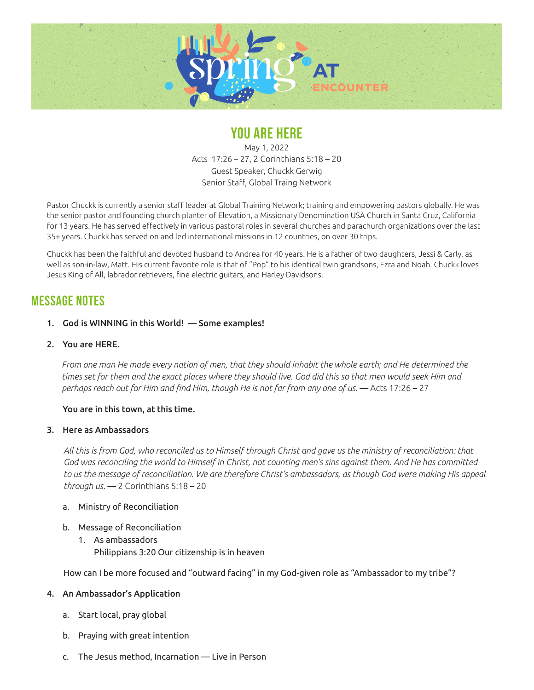

# **YOU ARE HERE**

May 1, 2022 Acts 17:26 – 27, 2 Corinthians 5:18 – 20 Guest Speaker, Chuckk Gerwig Senior Staff, Global Traing Network

Pastor Chuckk is currently a senior staff leader at Global Training Network; training and empowering pastors globally. He was the senior pastor and founding church planter of Elevation, a Missionary Denomination USA Church in Santa Cruz, California for 13 years. He has served effectively in various pastoral roles in several churches and parachurch organizations over the last 35+ years. Chuckk has served on and led international missions in 12 countries, on over 30 trips.

Chuckk has been the faithful and devoted husband to Andrea for 40 years. He is a father of two daughters, Jessi & Carly, as well as son-in-law, Matt. His current favorite role is that of "Pop" to his identical twin grandsons, Ezra and Noah. Chuckk loves Jesus King of All, labrador retrievers, fine electric guitars, and Harley Davidsons.

## **MESSAGE NOTES**

#### 1. God is WINNING in this World! — Some examples!

2. You are HERE.

*From one man He made every nation of men, that they should inhabit the whole earth; and He determined the times set for them and the exact places where they should live. God did this so that men would seek Him and perhaps reach out for Him and find Him, though He is not far from any one of us.* — Acts 17:26 – 27

#### You are in this town, at this time.

#### 3. Here as Ambassadors

*All this is from God, who reconciled us to Himself through Christ and gave us the ministry of reconciliation: that*  God was reconciling the world to Himself in Christ, not counting men's sins against them. And He has committed to us the message of reconciliation. We are therefore Christ's ambassadors, as though God were making His appeal *through us.* — 2 Corinthians 5:18 – 20

- a. Ministry of Reconciliation
- b. Message of Reconciliation
	- 1. As ambassadors Philippians 3:20 Our citizenship is in heaven

How can I be more focused and "outward facing" in my God-given role as "Ambassador to my tribe"?

### 4. An Ambassador's Application

- a. Start local, pray global
- b. Praying with great intention
- c. The Jesus method, Incarnation Live in Person